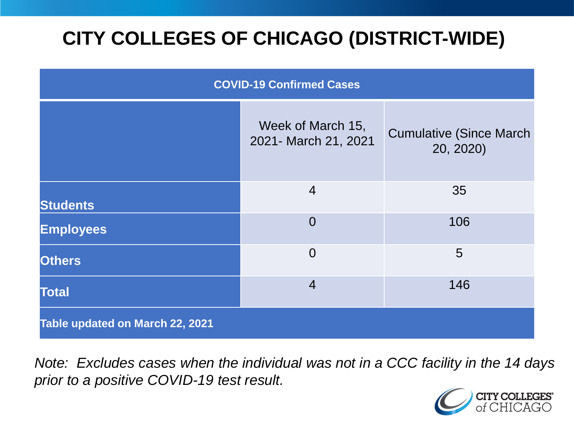# **CITY COLLEGES OF CHICAGO (DISTRICT-WIDE)**

| <b>COVID-19 Confirmed Cases</b> |                                           |                                              |
|---------------------------------|-------------------------------------------|----------------------------------------------|
|                                 | Week of March 15,<br>2021- March 21, 2021 | <b>Cumulative (Since March)</b><br>20, 2020) |
| <b>Students</b>                 | $\overline{4}$                            | 35                                           |
| <b>Employees</b>                | $\overline{0}$                            | 106                                          |
| <b>Others</b>                   | $\overline{0}$                            | 5                                            |
| <b>Total</b>                    | $\overline{4}$                            | 146                                          |
| Table updated on March 22, 2021 |                                           |                                              |

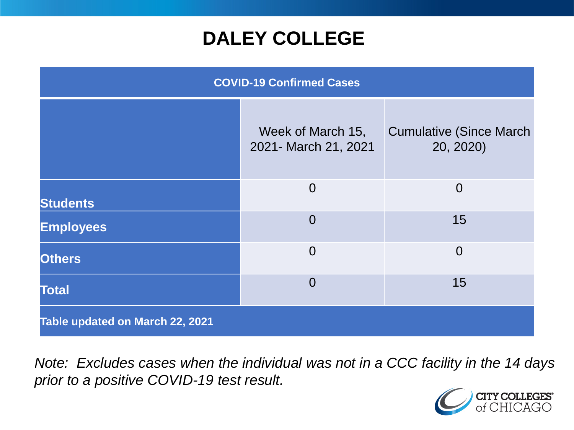### **DALEY COLLEGE**

| <b>COVID-19 Confirmed Cases</b> |                                           |                                              |
|---------------------------------|-------------------------------------------|----------------------------------------------|
|                                 | Week of March 15,<br>2021- March 21, 2021 | <b>Cumulative (Since March)</b><br>20, 2020) |
| <b>Students</b>                 | $\overline{0}$                            | $\overline{0}$                               |
| <b>Employees</b>                | $\overline{0}$                            | 15                                           |
| <b>Others</b>                   | $\overline{0}$                            | $\overline{0}$                               |
| <b>Total</b>                    | $\overline{0}$                            | 15                                           |
| Table updated on March 22, 2021 |                                           |                                              |

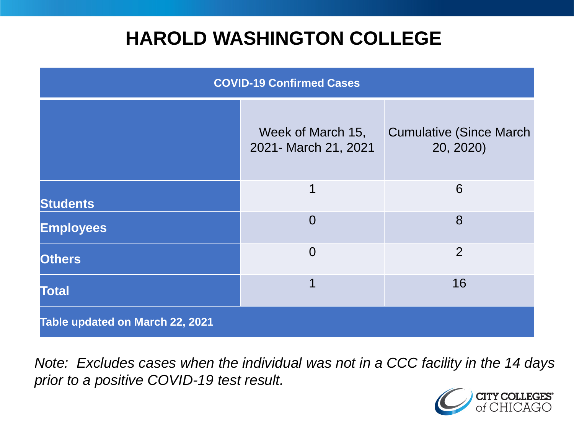### **HAROLD WASHINGTON COLLEGE**

| <b>COVID-19 Confirmed Cases</b> |                                           |                                              |
|---------------------------------|-------------------------------------------|----------------------------------------------|
|                                 | Week of March 15,<br>2021- March 21, 2021 | <b>Cumulative (Since March)</b><br>20, 2020) |
| <b>Students</b>                 | 1                                         | 6                                            |
| <b>Employees</b>                | $\Omega$                                  | 8                                            |
| <b>Others</b>                   | $\overline{0}$                            | $\overline{2}$                               |
| <b>Total</b>                    | 1                                         | 16                                           |
| Table updated on March 22, 2021 |                                           |                                              |

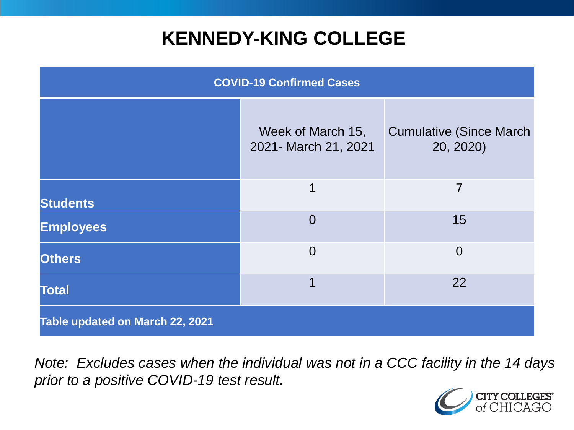### **KENNEDY-KING COLLEGE**

| <b>COVID-19 Confirmed Cases</b> |                                           |                                              |
|---------------------------------|-------------------------------------------|----------------------------------------------|
|                                 | Week of March 15,<br>2021- March 21, 2021 | <b>Cumulative (Since March)</b><br>20, 2020) |
| <b>Students</b>                 | $\mathbf 1$                               | $\overline{7}$                               |
| <b>Employees</b>                | $\overline{0}$                            | 15                                           |
| <b>Others</b>                   | $\overline{0}$                            | $\overline{0}$                               |
| <b>Total</b>                    |                                           | 22                                           |
| Table updated on March 22, 2021 |                                           |                                              |

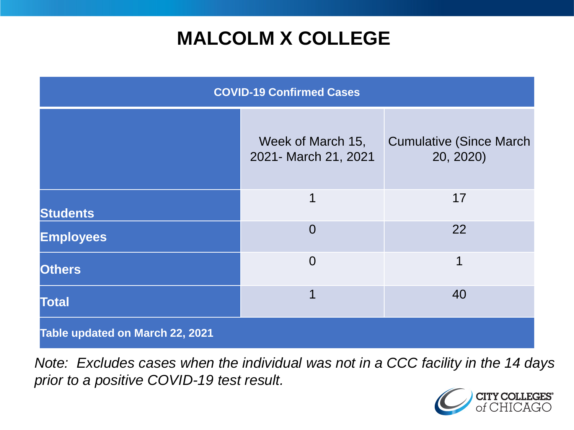# **MALCOLM X COLLEGE**

| <b>COVID-19 Confirmed Cases</b> |                                           |                                              |
|---------------------------------|-------------------------------------------|----------------------------------------------|
|                                 | Week of March 15,<br>2021- March 21, 2021 | <b>Cumulative (Since March)</b><br>20, 2020) |
| <b>Students</b>                 | 1                                         | 17                                           |
| <b>Employees</b>                | $\Omega$                                  | 22                                           |
| <b>Others</b>                   | $\overline{0}$                            | 1                                            |
| <b>Total</b>                    | 1                                         | 40                                           |
| Table updated on March 22, 2021 |                                           |                                              |

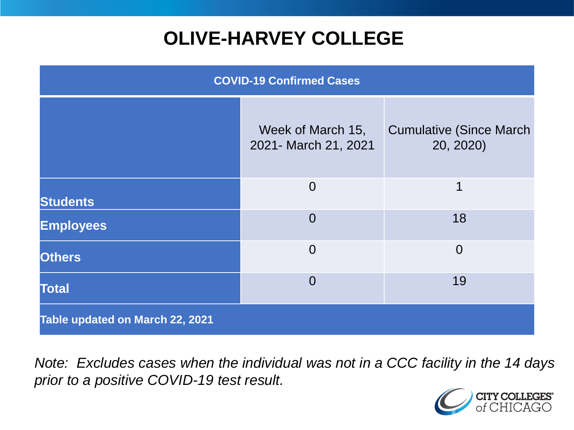# **OLIVE-HARVEY COLLEGE**

| <b>COVID-19 Confirmed Cases</b> |                                           |                                              |
|---------------------------------|-------------------------------------------|----------------------------------------------|
|                                 | Week of March 15,<br>2021- March 21, 2021 | <b>Cumulative (Since March)</b><br>20, 2020) |
| <b>Students</b>                 | $\overline{0}$                            | 1                                            |
| <b>Employees</b>                | $\overline{0}$                            | 18                                           |
| <b>Others</b>                   | $\overline{0}$                            | $\overline{0}$                               |
| <b>Total</b>                    | $\Omega$                                  | 19                                           |
| Table updated on March 22, 2021 |                                           |                                              |

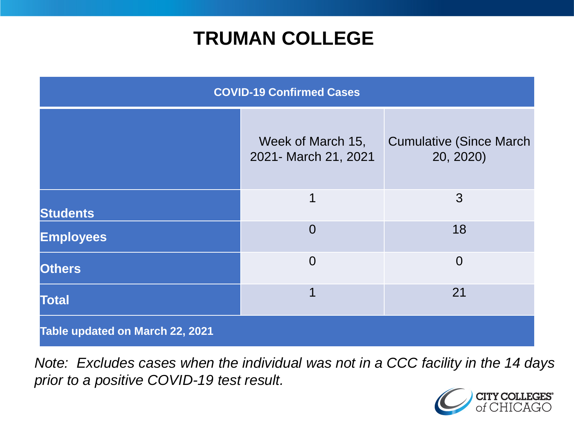### **TRUMAN COLLEGE**

| <b>COVID-19 Confirmed Cases</b> |                                           |                                              |
|---------------------------------|-------------------------------------------|----------------------------------------------|
|                                 | Week of March 15,<br>2021- March 21, 2021 | <b>Cumulative (Since March)</b><br>20, 2020) |
| <b>Students</b>                 | 1                                         | 3                                            |
| <b>Employees</b>                | $\overline{0}$                            | 18                                           |
| <b>Others</b>                   | $\overline{0}$                            | $\overline{0}$                               |
| <b>Total</b>                    | 1                                         | 21                                           |
| Table updated on March 22, 2021 |                                           |                                              |

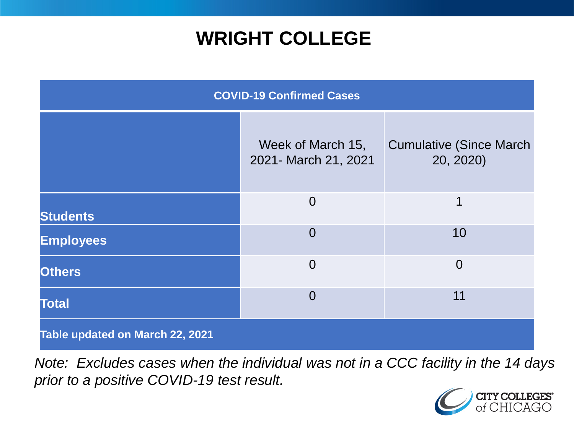### **WRIGHT COLLEGE**

| <b>COVID-19 Confirmed Cases</b> |                                           |                                              |
|---------------------------------|-------------------------------------------|----------------------------------------------|
|                                 | Week of March 15,<br>2021- March 21, 2021 | <b>Cumulative (Since March)</b><br>20, 2020) |
| <b>Students</b>                 | $\overline{0}$                            | 1                                            |
| <b>Employees</b>                | $\overline{0}$                            | 10                                           |
| <b>Others</b>                   | $\overline{0}$                            | $\overline{0}$                               |
| <b>Total</b>                    | $\Omega$                                  | 11                                           |
| Table updated on March 22, 2021 |                                           |                                              |